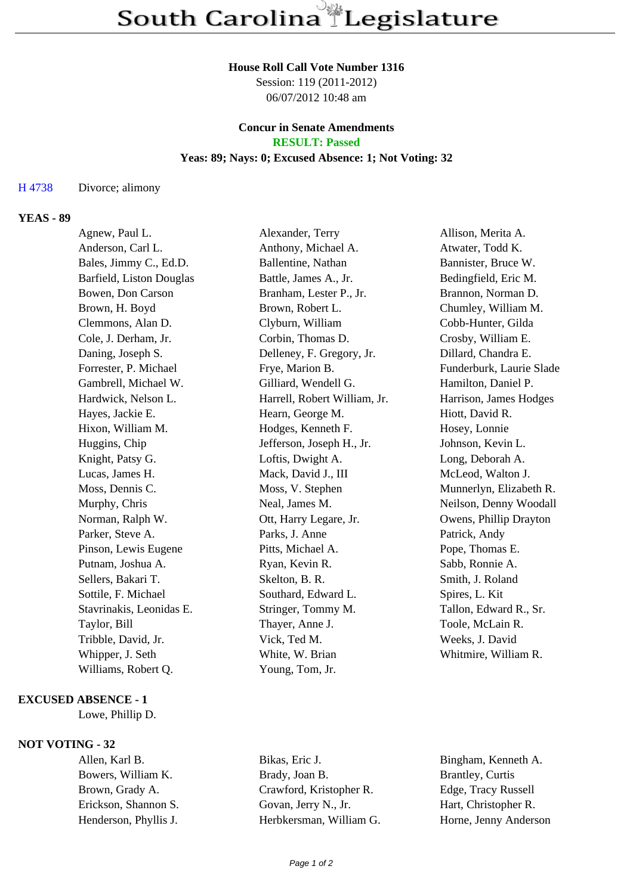#### **House Roll Call Vote Number 1316**

Session: 119 (2011-2012) 06/07/2012 10:48 am

## **Concur in Senate Amendments RESULT: Passed**

### **Yeas: 89; Nays: 0; Excused Absence: 1; Not Voting: 32**

### H 4738 Divorce; alimony

## **YEAS - 89**

| Agnew, Paul L.           | Alexander, Terry             | Allison, Merita A.       |
|--------------------------|------------------------------|--------------------------|
| Anderson, Carl L.        | Anthony, Michael A.          | Atwater, Todd K.         |
| Bales, Jimmy C., Ed.D.   | Ballentine, Nathan           | Bannister, Bruce W.      |
| Barfield, Liston Douglas | Battle, James A., Jr.        | Bedingfield, Eric M.     |
| Bowen, Don Carson        | Branham, Lester P., Jr.      | Brannon, Norman D.       |
| Brown, H. Boyd           | Brown, Robert L.             | Chumley, William M.      |
| Clemmons, Alan D.        | Clyburn, William             | Cobb-Hunter, Gilda       |
| Cole, J. Derham, Jr.     | Corbin, Thomas D.            | Crosby, William E.       |
| Daning, Joseph S.        | Delleney, F. Gregory, Jr.    | Dillard, Chandra E.      |
| Forrester, P. Michael    | Frye, Marion B.              | Funderburk, Laurie Slade |
| Gambrell, Michael W.     | Gilliard, Wendell G.         | Hamilton, Daniel P.      |
| Hardwick, Nelson L.      | Harrell, Robert William, Jr. | Harrison, James Hodges   |
| Hayes, Jackie E.         | Hearn, George M.             | Hiott, David R.          |
| Hixon, William M.        | Hodges, Kenneth F.           | Hosey, Lonnie            |
| Huggins, Chip            | Jefferson, Joseph H., Jr.    | Johnson, Kevin L.        |
| Knight, Patsy G.         | Loftis, Dwight A.            | Long, Deborah A.         |
| Lucas, James H.          | Mack, David J., III          | McLeod, Walton J.        |
| Moss, Dennis C.          | Moss, V. Stephen             | Munnerlyn, Elizabeth R.  |
| Murphy, Chris            | Neal, James M.               | Neilson, Denny Woodall   |
| Norman, Ralph W.         | Ott, Harry Legare, Jr.       | Owens, Phillip Drayton   |
| Parker, Steve A.         | Parks, J. Anne               | Patrick, Andy            |
| Pinson, Lewis Eugene     | Pitts, Michael A.            | Pope, Thomas E.          |
| Putnam, Joshua A.        | Ryan, Kevin R.               | Sabb, Ronnie A.          |
| Sellers, Bakari T.       | Skelton, B. R.               | Smith, J. Roland         |
| Sottile, F. Michael      | Southard, Edward L.          | Spires, L. Kit           |
| Stavrinakis, Leonidas E. | Stringer, Tommy M.           | Tallon, Edward R., Sr.   |
| Taylor, Bill             | Thayer, Anne J.              | Toole, McLain R.         |
| Tribble, David, Jr.      | Vick, Ted M.                 | Weeks, J. David          |
| Whipper, J. Seth         | White, W. Brian              | Whitmire, William R.     |
| Williams, Robert Q.      | Young, Tom, Jr.              |                          |
|                          |                              |                          |

#### **EXCUSED ABSENCE - 1**

Lowe, Phillip D.

# **NOT VOTING - 32**

Allen, Karl B. Bikas, Eric J. Bingham, Kenneth A. Bowers, William K. Brady, Joan B. Brantley, Curtis Brown, Grady A. Crawford, Kristopher R. Edge, Tracy Russell Erickson, Shannon S. Govan, Jerry N., Jr. Hart, Christopher R. Henderson, Phyllis J. Herbkersman, William G. Horne, Jenny Anderson